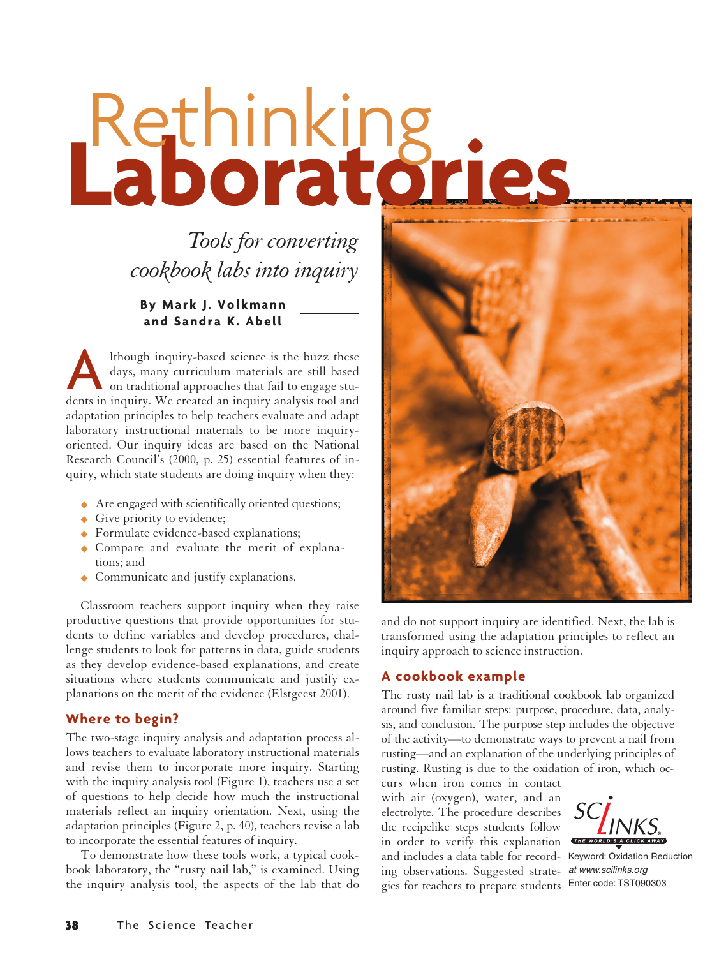# **Laboratories** Rethinking

*Tools for converting cookbook labs into inquiry*

**By Mark J. Volkmann and Sandra K. Abell**

Ithough inquiry-based science is the buzz these<br>days, many curriculum materials are still based<br>on traditional approaches that fail to engage stu-<br>dents in inquiry. We created an inquiry analysis tool and lthough inquiry-based science is the buzz these days, many curriculum materials are still based on traditional approaches that fail to engage stuadaptation principles to help teachers evaluate and adapt laboratory instructional materials to be more inquiryoriented. Our inquiry ideas are based on the National Research Council's (2000, p. 25) essential features of inquiry, which state students are doing inquiry when they:

- ◆ Are engaged with scientifically oriented questions;
- ◆ Give priority to evidence;
- ◆ Formulate evidence-based explanations;
- ◆ Compare and evaluate the merit of explanations; and
- ◆ Communicate and justify explanations.

Classroom teachers support inquiry when they raise productive questions that provide opportunities for students to define variables and develop procedures, challenge students to look for patterns in data, guide students as they develop evidence-based explanations, and create situations where students communicate and justify explanations on the merit of the evidence (Elstgeest 2001).

### **Where to begin?**

The two-stage inquiry analysis and adaptation process allows teachers to evaluate laboratory instructional materials and revise them to incorporate more inquiry. Starting with the inquiry analysis tool (Figure 1), teachers use a set of questions to help decide how much the instructional materials reflect an inquiry orientation. Next, using the adaptation principles (Figure 2, p. 40), teachers revise a lab to incorporate the essential features of inquiry.

To demonstrate how these tools work, a typical cookbook laboratory, the "rusty nail lab," is examined. Using the inquiry analysis tool, the aspects of the lab that do



and do not support inquiry are identified. Next, the lab is transformed using the adaptation principles to reflect an inquiry approach to science instruction.

# **A cookbook example**

The rusty nail lab is a traditional cookbook lab organized around five familiar steps: purpose, procedure, data, analysis, and conclusion. The purpose step includes the objective of the activity—to demonstrate ways to prevent a nail from rusting—and an explanation of the underlying principles of rusting. Rusting is due to the oxidation of iron, which oc-

curs when iron comes in contact with air (oxygen), water, and an electrolyte. The procedure describes the recipelike steps students follow in order to verify this explanation THE WORLD'S A CLICK AWAY and includes a data table for record-Keyword: Oxidation Reduction ing observations. Suggested strate-at www.scilinks.org gies for teachers to prepare students Enter code: TST090303

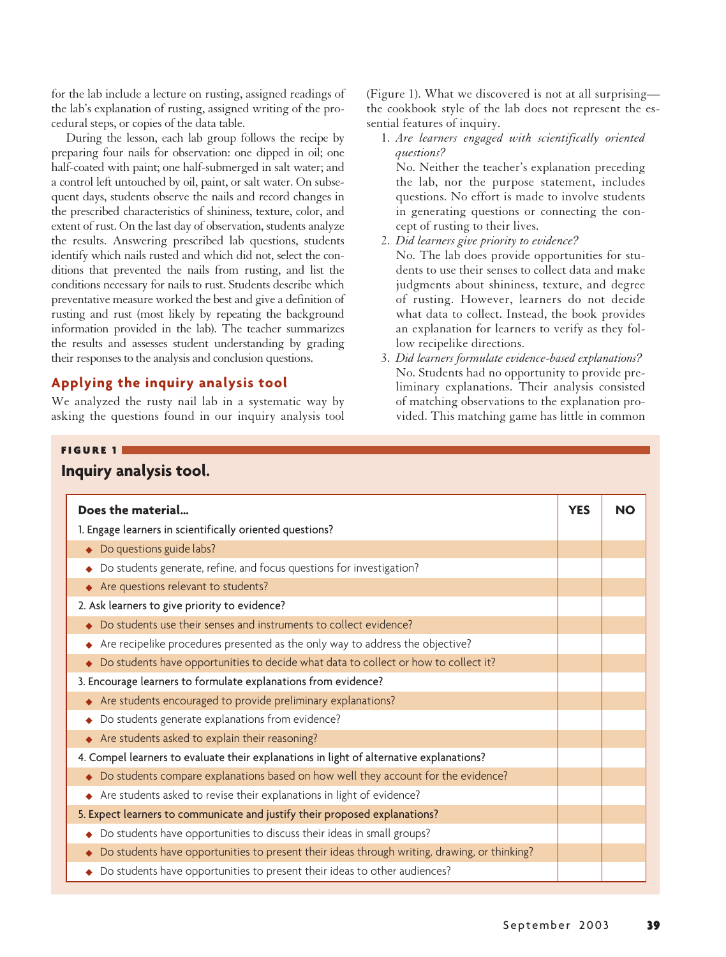for the lab include a lecture on rusting, assigned readings of the lab's explanation of rusting, assigned writing of the procedural steps, or copies of the data table.

During the lesson, each lab group follows the recipe by preparing four nails for observation: one dipped in oil; one half-coated with paint; one half-submerged in salt water; and a control left untouched by oil, paint, or salt water. On subsequent days, students observe the nails and record changes in the prescribed characteristics of shininess, texture, color, and extent of rust. On the last day of observation, students analyze the results. Answering prescribed lab questions, students identify which nails rusted and which did not, select the conditions that prevented the nails from rusting, and list the conditions necessary for nails to rust. Students describe which preventative measure worked the best and give a definition of rusting and rust (most likely by repeating the background information provided in the lab). The teacher summarizes the results and assesses student understanding by grading their responses to the analysis and conclusion questions.

# **Applying the inquiry analysis tool**

FIGURE 1

We analyzed the rusty nail lab in a systematic way by asking the questions found in our inquiry analysis tool (Figure 1). What we discovered is not at all surprising the cookbook style of the lab does not represent the essential features of inquiry.

1. *Are learners engaged with scientifically oriented questions?*

No. Neither the teacher's explanation preceding the lab, nor the purpose statement, includes questions. No effort is made to involve students in generating questions or connecting the concept of rusting to their lives.

2. *Did learners give priority to evidence?*

No. The lab does provide opportunities for students to use their senses to collect data and make judgments about shininess, texture, and degree of rusting. However, learners do not decide what data to collect. Instead, the book provides an explanation for learners to verify as they follow recipelike directions.

3. *Did learners formulate evidence-based explanations?* No. Students had no opportunity to provide preliminary explanations. Their analysis consisted of matching observations to the explanation provided. This matching game has little in common

| Does the material                                                                            | <b>YES</b> | <b>NO</b> |
|----------------------------------------------------------------------------------------------|------------|-----------|
| 1. Engage learners in scientifically oriented questions?                                     |            |           |
| Do questions guide labs?                                                                     |            |           |
| Do students generate, refine, and focus questions for investigation?                         |            |           |
| Are questions relevant to students?                                                          |            |           |
| 2. Ask learners to give priority to evidence?                                                |            |           |
| Do students use their senses and instruments to collect evidence?                            |            |           |
| Are recipelike procedures presented as the only way to address the objective?                |            |           |
| Do students have opportunities to decide what data to collect or how to collect it?          |            |           |
| 3. Encourage learners to formulate explanations from evidence?                               |            |           |
| Are students encouraged to provide preliminary explanations?                                 |            |           |
| Do students generate explanations from evidence?                                             |            |           |
| Are students asked to explain their reasoning?                                               |            |           |
| 4. Compel learners to evaluate their explanations in light of alternative explanations?      |            |           |
| Do students compare explanations based on how well they account for the evidence?            |            |           |
| Are students asked to revise their explanations in light of evidence?                        |            |           |
| 5. Expect learners to communicate and justify their proposed explanations?                   |            |           |
| Do students have opportunities to discuss their ideas in small groups?                       |            |           |
| Do students have opportunities to present their ideas through writing, drawing, or thinking? |            |           |
| Do students have opportunities to present their ideas to other audiences?                    |            |           |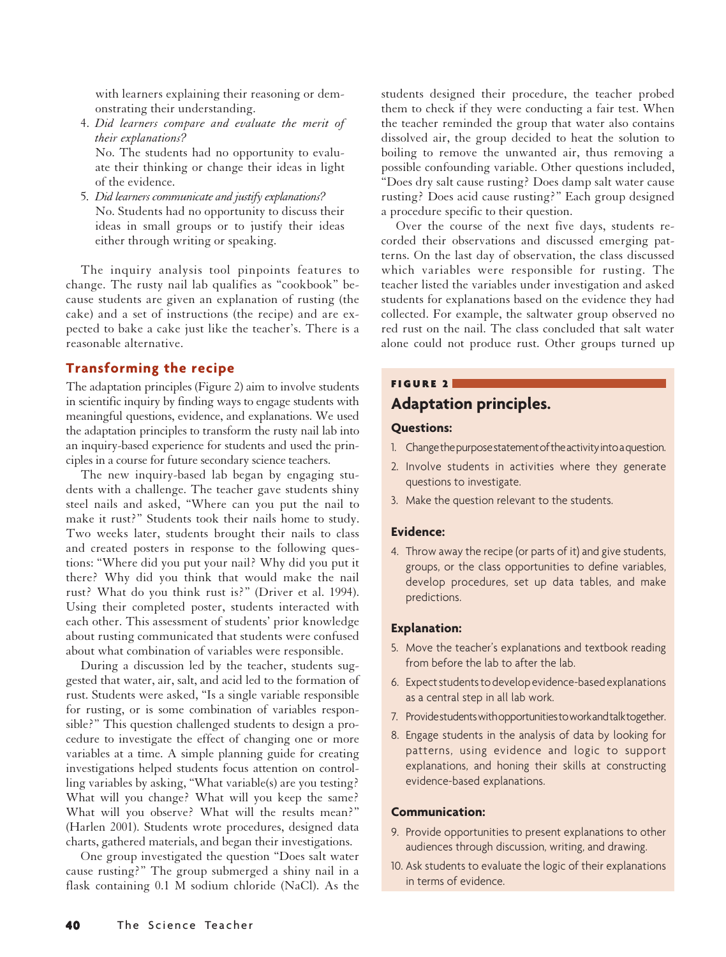with learners explaining their reasoning or demonstrating their understanding.

- 4. *Did learners compare and evaluate the merit of their explanations?* No. The students had no opportunity to evaluate their thinking or change their ideas in light of the evidence.
- 5. *Did learners communicate and justify explanations?* No. Students had no opportunity to discuss their ideas in small groups or to justify their ideas either through writing or speaking.

The inquiry analysis tool pinpoints features to change. The rusty nail lab qualifies as "cookbook" because students are given an explanation of rusting (the cake) and a set of instructions (the recipe) and are expected to bake a cake just like the teacher's. There is a reasonable alternative.

# **Transforming the recipe**

The adaptation principles (Figure 2) aim to involve students in scientific inquiry by finding ways to engage students with meaningful questions, evidence, and explanations. We used the adaptation principles to transform the rusty nail lab into an inquiry-based experience for students and used the principles in a course for future secondary science teachers.

The new inquiry-based lab began by engaging students with a challenge. The teacher gave students shiny steel nails and asked, "Where can you put the nail to make it rust?" Students took their nails home to study. Two weeks later, students brought their nails to class and created posters in response to the following questions: "Where did you put your nail? Why did you put it there? Why did you think that would make the nail rust? What do you think rust is?" (Driver et al. 1994). Using their completed poster, students interacted with each other. This assessment of students' prior knowledge about rusting communicated that students were confused about what combination of variables were responsible.

During a discussion led by the teacher, students suggested that water, air, salt, and acid led to the formation of rust. Students were asked, "Is a single variable responsible for rusting, or is some combination of variables responsible?" This question challenged students to design a procedure to investigate the effect of changing one or more variables at a time. A simple planning guide for creating investigations helped students focus attention on controlling variables by asking, "What variable(s) are you testing? What will you change? What will you keep the same? What will you observe? What will the results mean?" (Harlen 2001). Students wrote procedures, designed data charts, gathered materials, and began their investigations.

One group investigated the question "Does salt water cause rusting?" The group submerged a shiny nail in a flask containing 0.1 M sodium chloride (NaCl). As the

students designed their procedure, the teacher probed them to check if they were conducting a fair test. When the teacher reminded the group that water also contains dissolved air, the group decided to heat the solution to boiling to remove the unwanted air, thus removing a possible confounding variable. Other questions included, "Does dry salt cause rusting? Does damp salt water cause rusting? Does acid cause rusting?" Each group designed a procedure specific to their question.

Over the course of the next five days, students recorded their observations and discussed emerging patterns. On the last day of observation, the class discussed which variables were responsible for rusting. The teacher listed the variables under investigation and asked students for explanations based on the evidence they had collected. For example, the saltwater group observed no red rust on the nail. The class concluded that salt water alone could not produce rust. Other groups turned up

### FIGURE 2

# **Adaptation principles.**

### **Questions:**

- 1. Change the purpose statement of the activity into a question.
- 2. Involve students in activities where they generate questions to investigate.
- 3. Make the question relevant to the students.

### **Evidence:**

4. Throw away the recipe (or parts of it) and give students, groups, or the class opportunities to define variables, develop procedures, set up data tables, and make predictions.

### **Explanation:**

- 5. Move the teacher's explanations and textbook reading from before the lab to after the lab.
- 6. Expect students to develop evidence-based explanations as a central step in all lab work.
- 7. Provide students with opportunities to work and talk together.
- 8. Engage students in the analysis of data by looking for patterns, using evidence and logic to support explanations, and honing their skills at constructing evidence-based explanations.

### **Communication:**

- 9. Provide opportunities to present explanations to other audiences through discussion, writing, and drawing.
- 10. Ask students to evaluate the logic of their explanations in terms of evidence.